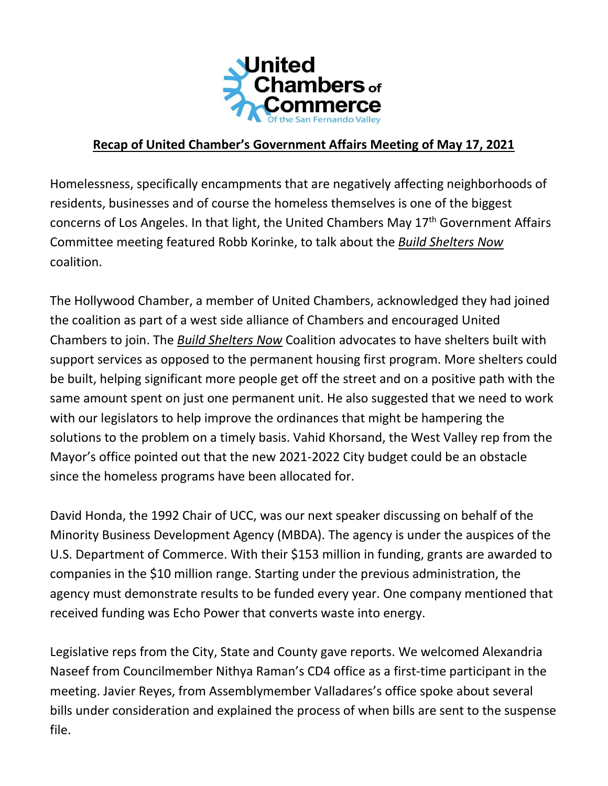

## **Recap of United Chamber's Government Affairs Meeting of May 17, 2021**

Homelessness, specifically encampments that are negatively affecting neighborhoods of residents, businesses and of course the homeless themselves is one of the biggest concerns of Los Angeles. In that light, the United Chambers May 17<sup>th</sup> Government Affairs Committee meeting featured Robb Korinke, to talk about the *Build Shelters Now* coalition.

The Hollywood Chamber, a member of United Chambers, acknowledged they had joined the coalition as part of a west side alliance of Chambers and encouraged United Chambers to join. The *Build Shelters Now* Coalition advocates to have shelters built with support services as opposed to the permanent housing first program. More shelters could be built, helping significant more people get off the street and on a positive path with the same amount spent on just one permanent unit. He also suggested that we need to work with our legislators to help improve the ordinances that might be hampering the solutions to the problem on a timely basis. Vahid Khorsand, the West Valley rep from the Mayor's office pointed out that the new 2021-2022 City budget could be an obstacle since the homeless programs have been allocated for.

David Honda, the 1992 Chair of UCC, was our next speaker discussing on behalf of the Minority Business Development Agency (MBDA). The agency is under the auspices of the U.S. Department of Commerce. With their \$153 million in funding, grants are awarded to companies in the \$10 million range. Starting under the previous administration, the agency must demonstrate results to be funded every year. One company mentioned that received funding was Echo Power that converts waste into energy.

Legislative reps from the City, State and County gave reports. We welcomed Alexandria Naseef from Councilmember Nithya Raman's CD4 office as a first-time participant in the meeting. Javier Reyes, from Assemblymember Valladares's office spoke about several bills under consideration and explained the process of when bills are sent to the suspense file.